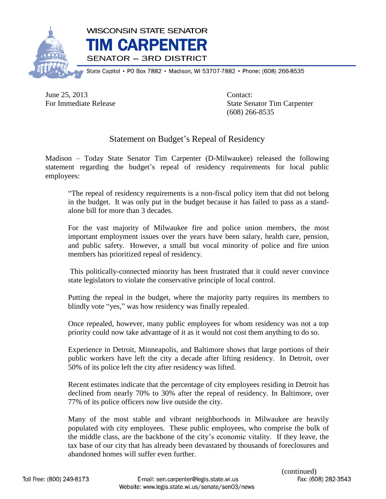

State Capitol • PO Box 7882 • Madison, WI 53707-7882 • Phone: (608) 266-8535

June 25, 2013 Contact:

For Immediate Release State Senator Tim Carpenter (608) 266-8535

## Statement on Budget's Repeal of Residency

Madison – Today State Senator Tim Carpenter (D-Milwaukee) released the following statement regarding the budget's repeal of residency requirements for local public employees:

"The repeal of residency requirements is a non-fiscal policy item that did not belong in the budget. It was only put in the budget because it has failed to pass as a standalone bill for more than 3 decades.

For the vast majority of Milwaukee fire and police union members, the most important employment issues over the years have been salary, health care, pension, and public safety. However, a small but vocal minority of police and fire union members has prioritized repeal of residency.

This politically-connected minority has been frustrated that it could never convince state legislators to violate the conservative principle of local control.

Putting the repeal in the budget, where the majority party requires its members to blindly vote "yes," was how residency was finally repealed.

Once repealed, however, many public employees for whom residency was not a top priority could now take advantage of it as it would not cost them anything to do so.

Experience in Detroit, Minneapolis, and Baltimore shows that large portions of their public workers have left the city a decade after lifting residency. In Detroit, over 50% of its police left the city after residency was lifted.

Recent estimates indicate that the percentage of city employees residing in Detroit has declined from nearly 70% to 30% after the repeal of residency. In Baltimore, over 77% of its police officers now live outside the city.

Many of the most stable and vibrant neighborhoods in Milwaukee are heavily populated with city employees. These public employees, who comprise the bulk of the middle class, are the backbone of the city's economic vitality. If they leave, the tax base of our city that has already been devastated by thousands of foreclosures and abandoned homes will suffer even further.